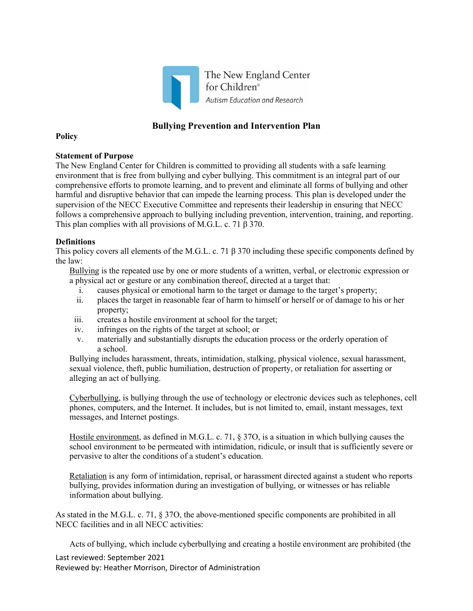

# **Bullying Prevention and Intervention Plan**

**Policy** 

## **Statement of Purpose**

The New England Center for Children is committed to providing all students with a safe learning environment that is free from bullying and cyber bullying. This commitment is an integral part of our comprehensive efforts to promote learning, and to prevent and eliminate all forms of bullying and other harmful and disruptive behavior that can impede the learning process. This plan is developed under the supervision of the NECC Executive Committee and represents their leadership in ensuring that NECC follows a comprehensive approach to bullying including prevention, intervention, training, and reporting. This plan complies with all provisions of M.G.L. c. 71 β 370.

## **Definitions**

This policy covers all elements of the M.G.L. c. 71 β 370 including these specific components defined by the law:

Bullying is the repeated use by one or more students of a written, verbal, or electronic expression or a physical act or gesture or any combination thereof, directed at a target that:

- i. causes physical or emotional harm to the target or damage to the target's property;
- ii. places the target in reasonable fear of harm to himself or herself or of damage to his or her property;
- iii. creates a hostile environment at school for the target;
- iv. infringes on the rights of the target at school; or
- v. materially and substantially disrupts the education process or the orderly operation of a school.

Bullying includes harassment, threats, intimidation, stalking, physical violence, sexual harassment, sexual violence, theft, public humiliation, destruction of property, or retaliation for asserting or alleging an act of bullying.

Cyberbullying, is bullying through the use of technology or electronic devices such as telephones, cell phones, computers, and the Internet. It includes, but is not limited to, email, instant messages, text messages, and Internet postings.

Hostile environment, as defined in M.G.L. c. 71, § 37O, is a situation in which bullying causes the school environment to be permeated with intimidation, ridicule, or insult that is sufficiently severe or pervasive to alter the conditions of a student's education.

Retaliation is any form of intimidation, reprisal, or harassment directed against a student who reports bullying, provides information during an investigation of bullying, or witnesses or has reliable information about bullying.

As stated in the M.G.L. c. 71, § 37O, the above-mentioned specific components are prohibited in all NECC facilities and in all NECC activities:

Acts of bullying, which include cyberbullying and creating a hostile environment are prohibited (the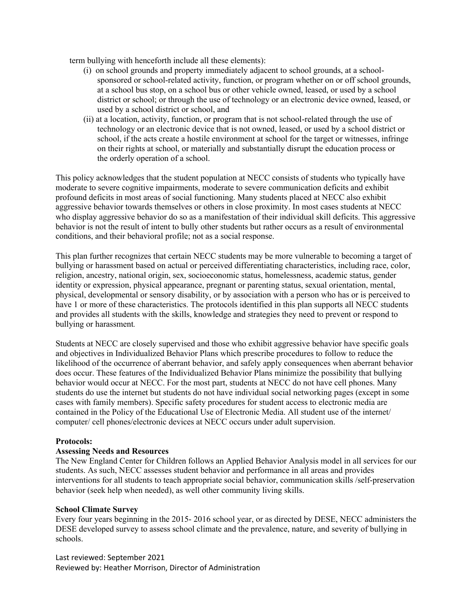term bullying with henceforth include all these elements):

- (i) on school grounds and property immediately adjacent to school grounds, at a schoolsponsored or school-related activity, function, or program whether on or off school grounds, at a school bus stop, on a school bus or other vehicle owned, leased, or used by a school district or school; or through the use of technology or an electronic device owned, leased, or used by a school district or school, and
- (ii) at a location, activity, function, or program that is not school-related through the use of technology or an electronic device that is not owned, leased, or used by a school district or school, if the acts create a hostile environment at school for the target or witnesses, infringe on their rights at school, or materially and substantially disrupt the education process or the orderly operation of a school.

This policy acknowledges that the student population at NECC consists of students who typically have moderate to severe cognitive impairments, moderate to severe communication deficits and exhibit profound deficits in most areas of social functioning. Many students placed at NECC also exhibit aggressive behavior towards themselves or others in close proximity. In most cases students at NECC who display aggressive behavior do so as a manifestation of their individual skill deficits. This aggressive behavior is not the result of intent to bully other students but rather occurs as a result of environmental conditions, and their behavioral profile; not as a social response.

This plan further recognizes that certain NECC students may be more vulnerable to becoming a target of bullying or harassment based on actual or perceived differentiating characteristics, including race, color, religion, ancestry, national origin, sex, socioeconomic status, homelessness, academic status, gender identity or expression, physical appearance, pregnant or parenting status, sexual orientation, mental, physical, developmental or sensory disability, or by association with a person who has or is perceived to have 1 or more of these characteristics. The protocols identified in this plan supports all NECC students and provides all students with the skills, knowledge and strategies they need to prevent or respond to bullying or harassment*.* 

Students at NECC are closely supervised and those who exhibit aggressive behavior have specific goals and objectives in Individualized Behavior Plans which prescribe procedures to follow to reduce the likelihood of the occurrence of aberrant behavior, and safely apply consequences when aberrant behavior does occur. These features of the Individualized Behavior Plans minimize the possibility that bullying behavior would occur at NECC. For the most part, students at NECC do not have cell phones. Many students do use the internet but students do not have individual social networking pages (except in some cases with family members). Specific safety procedures for student access to electronic media are contained in the Policy of the Educational Use of Electronic Media. All student use of the internet/ computer/ cell phones/electronic devices at NECC occurs under adult supervision.

## **Protocols:**

## **Assessing Needs and Resources**

The New England Center for Children follows an Applied Behavior Analysis model in all services for our students. As such, NECC assesses student behavior and performance in all areas and provides interventions for all students to teach appropriate social behavior, communication skills /self-preservation behavior (seek help when needed), as well other community living skills.

#### **School Climate Survey**

Every four years beginning in the 2015- 2016 school year, or as directed by DESE, NECC administers the DESE developed survey to assess school climate and the prevalence, nature, and severity of bullying in schools.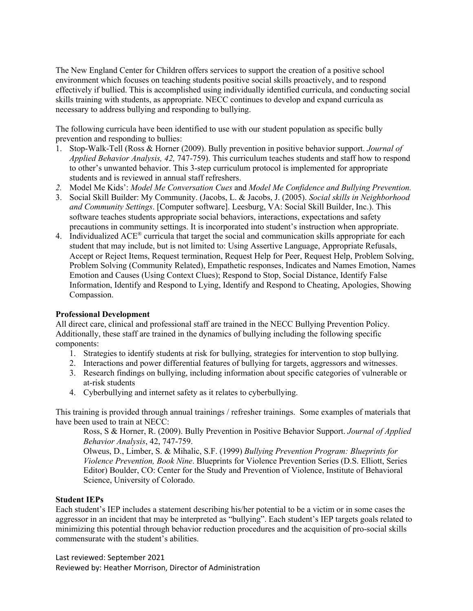The New England Center for Children offers services to support the creation of a positive school environment which focuses on teaching students positive social skills proactively, and to respond effectively if bullied. This is accomplished using individually identified curricula, and conducting social skills training with students, as appropriate. NECC continues to develop and expand curricula as necessary to address bullying and responding to bullying.

The following curricula have been identified to use with our student population as specific bully prevention and responding to bullies:

- 1. Stop-Walk-Tell (Ross & Horner (2009). Bully prevention in positive behavior support. *Journal of Applied Behavior Analysis, 42,* 747-759). This curriculum teaches students and staff how to respond to other's unwanted behavior. This 3-step curriculum protocol is implemented for appropriate students and is reviewed in annual staff refreshers.
- *2.* Model Me Kids': *Model Me Conversation Cues* and *Model Me Confidence and Bullying Prevention.*
- 3. Social Skill Builder: My Community. (Jacobs, L. & Jacobs, J. (2005). *Social skills in Neighborhood and Community Settings*. [Computer software]. Leesburg, VA: Social Skill Builder, Inc.). This software teaches students appropriate social behaviors, interactions, expectations and safety precautions in community settings. It is incorporated into student's instruction when appropriate.
- 4. Individualized ACE® curricula that target the social and communication skills appropriate for each student that may include, but is not limited to: Using Assertive Language, Appropriate Refusals, Accept or Reject Items, Request termination, Request Help for Peer, Request Help, Problem Solving, Problem Solving (Community Related), Empathetic responses, Indicates and Names Emotion, Names Emotion and Causes (Using Context Clues); Respond to Stop, Social Distance, Identify False Information, Identify and Respond to Lying, Identify and Respond to Cheating, Apologies, Showing Compassion.

## **Professional Development**

All direct care, clinical and professional staff are trained in the NECC Bullying Prevention Policy. Additionally, these staff are trained in the dynamics of bullying including the following specific components:

- 1. Strategies to identify students at risk for bullying, strategies for intervention to stop bullying.
- 2. Interactions and power differential features of bullying for targets, aggressors and witnesses.
- 3. Research findings on bullying, including information about specific categories of vulnerable or at-risk students
- 4. Cyberbullying and internet safety as it relates to cyberbullying.

This training is provided through annual trainings / refresher trainings. Some examples of materials that have been used to train at NECC:

Ross, S & Horner, R. (2009). Bully Prevention in Positive Behavior Support. *Journal of Applied Behavior Analysis*, 42, 747-759.

Olweus, D., Limber, S. & Mihalic, S.F. (1999) *Bullying Prevention Program: Blueprints for Violence Prevention, Book Nine*. Blueprints for Violence Prevention Series (D.S. Elliott, Series Editor) Boulder, CO: Center for the Study and Prevention of Violence, Institute of Behavioral Science, University of Colorado.

## **Student IEPs**

Each student's IEP includes a statement describing his/her potential to be a victim or in some cases the aggressor in an incident that may be interpreted as "bullying". Each student's IEP targets goals related to minimizing this potential through behavior reduction procedures and the acquisition of pro-social skills commensurate with the student's abilities.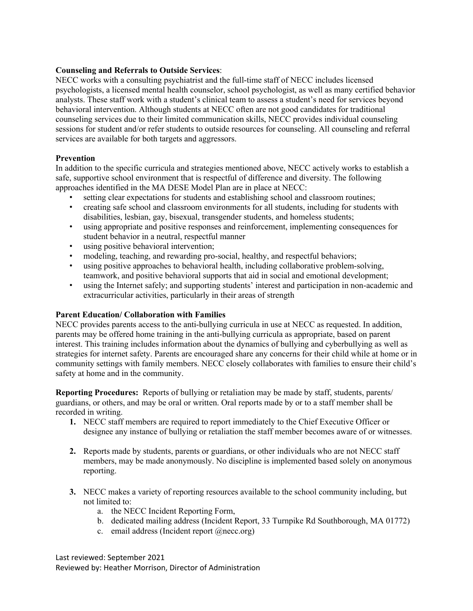## **Counseling and Referrals to Outside Services**:

NECC works with a consulting psychiatrist and the full-time staff of NECC includes licensed psychologists, a licensed mental health counselor, school psychologist, as well as many certified behavior analysts. These staff work with a student's clinical team to assess a student's need for services beyond behavioral intervention. Although students at NECC often are not good candidates for traditional counseling services due to their limited communication skills, NECC provides individual counseling sessions for student and/or refer students to outside resources for counseling. All counseling and referral services are available for both targets and aggressors.

# **Prevention**

In addition to the specific curricula and strategies mentioned above, NECC actively works to establish a safe, supportive school environment that is respectful of difference and diversity. The following approaches identified in the MA DESE Model Plan are in place at NECC:

- setting clear expectations for students and establishing school and classroom routines;
- creating safe school and classroom environments for all students, including for students with disabilities, lesbian, gay, bisexual, transgender students, and homeless students;
- using appropriate and positive responses and reinforcement, implementing consequences for student behavior in a neutral, respectful manner
- using positive behavioral intervention;
- modeling, teaching, and rewarding pro-social, healthy, and respectful behaviors;
- using positive approaches to behavioral health, including collaborative problem-solving, teamwork, and positive behavioral supports that aid in social and emotional development;
- using the Internet safely; and supporting students' interest and participation in non-academic and extracurricular activities, particularly in their areas of strength

## **Parent Education/ Collaboration with Families**

NECC provides parents access to the anti-bullying curricula in use at NECC as requested. In addition, parents may be offered home training in the anti-bullying curricula as appropriate, based on parent interest. This training includes information about the dynamics of bullying and cyberbullying as well as strategies for internet safety. Parents are encouraged share any concerns for their child while at home or in community settings with family members. NECC closely collaborates with families to ensure their child's safety at home and in the community.

**Reporting Procedures:** Reports of bullying or retaliation may be made by staff, students, parents/ guardians, or others, and may be oral or written. Oral reports made by or to a staff member shall be recorded in writing.

- **1.** NECC staff members are required to report immediately to the Chief Executive Officer or designee any instance of bullying or retaliation the staff member becomes aware of or witnesses.
- **2.** Reports made by students, parents or guardians, or other individuals who are not NECC staff members, may be made anonymously. No discipline is implemented based solely on anonymous reporting.
- **3.** NECC makes a variety of reporting resources available to the school community including, but not limited to:
	- a. the NECC Incident Reporting Form,
	- b. dedicated mailing address (Incident Report, 33 Turnpike Rd Southborough, MA 01772)
	- c. email address (Incident report @necc.org)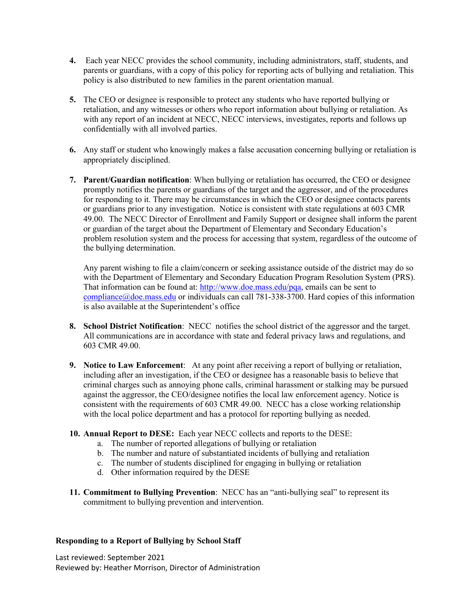- **4.** Each year NECC provides the school community, including administrators, staff, students, and parents or guardians, with a copy of this policy for reporting acts of bullying and retaliation. This policy is also distributed to new families in the parent orientation manual.
- **5.** The CEO or designee is responsible to protect any students who have reported bullying or retaliation, and any witnesses or others who report information about bullying or retaliation. As with any report of an incident at NECC, NECC interviews, investigates, reports and follows up confidentially with all involved parties.
- **6.** Any staff or student who knowingly makes a false accusation concerning bullying or retaliation is appropriately disciplined.
- **7. Parent/Guardian notification**: When bullying or retaliation has occurred, the CEO or designee promptly notifies the parents or guardians of the target and the aggressor, and of the procedures for responding to it. There may be circumstances in which the CEO or designee contacts parents or guardians prior to any investigation. Notice is consistent with state regulations at 603 CMR 49.00. The NECC Director of Enrollment and Family Support or designee shall inform the parent or guardian of the target about the Department of Elementary and Secondary Education's problem resolution system and the process for accessing that system, regardless of the outcome of the bullying determination.

Any parent wishing to file a claim/concern or seeking assistance outside of the district may do so with the Department of Elementary and Secondary Education Program Resolution System (PRS). That information can be found at: http://www.doe.mass.edu/pqa, emails can be sent to compliance@doe.mass.edu or individuals can call 781-338-3700. Hard copies of this information is also available at the Superintendent's office

- **8. School District Notification**: NECC notifies the school district of the aggressor and the target. All communications are in accordance with state and federal privacy laws and regulations, and 603 CMR 49.00.
- **9. Notice to Law Enforcement**: At any point after receiving a report of bullying or retaliation, including after an investigation, if the CEO or designee has a reasonable basis to believe that criminal charges such as annoying phone calls, criminal harassment or stalking may be pursued against the aggressor, the CEO/designee notifies the local law enforcement agency. Notice is consistent with the requirements of 603 CMR 49.00. NECC has a close working relationship with the local police department and has a protocol for reporting bullying as needed.
- **10. Annual Report to DESE:** Each year NECC collects and reports to the DESE:
	- a. The number of reported allegations of bullying or retaliation
	- b. The number and nature of substantiated incidents of bullying and retaliation
	- c. The number of students disciplined for engaging in bullying or retaliation
	- d. Other information required by the DESE
- **11. Commitment to Bullying Prevention**: NECC has an "anti-bullying seal" to represent its commitment to bullying prevention and intervention.

## **Responding to a Report of Bullying by School Staff**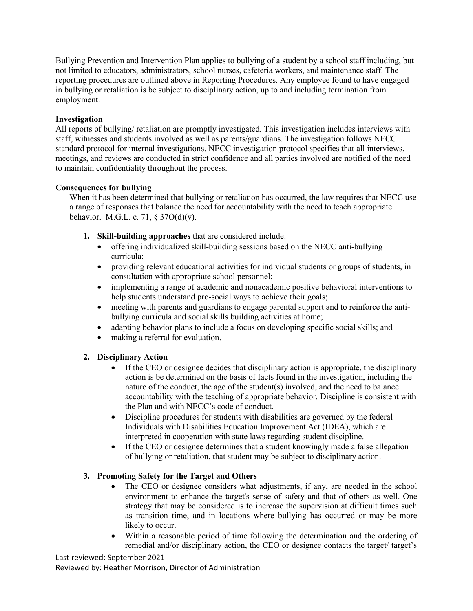Bullying Prevention and Intervention Plan applies to bullying of a student by a school staff including, but not limited to educators, administrators, school nurses, cafeteria workers, and maintenance staff. The reporting procedures are outlined above in Reporting Procedures. Any employee found to have engaged in bullying or retaliation is be subject to disciplinary action, up to and including termination from employment.

## **Investigation**

All reports of bullying/ retaliation are promptly investigated. This investigation includes interviews with staff, witnesses and students involved as well as parents/guardians. The investigation follows NECC standard protocol for internal investigations. NECC investigation protocol specifies that all interviews, meetings, and reviews are conducted in strict confidence and all parties involved are notified of the need to maintain confidentiality throughout the process.

## **Consequences for bullying**

When it has been determined that bullying or retaliation has occurred, the law requires that NECC use a range of responses that balance the need for accountability with the need to teach appropriate behavior. M.G.L. c. 71,  $\S 37O(d)(v)$ .

- **1. Skill-building approaches** that are considered include:
	- offering individualized skill-building sessions based on the NECC anti-bullying curricula;
	- providing relevant educational activities for individual students or groups of students, in consultation with appropriate school personnel;
	- implementing a range of academic and nonacademic positive behavioral interventions to help students understand pro-social ways to achieve their goals;
	- meeting with parents and guardians to engage parental support and to reinforce the antibullying curricula and social skills building activities at home;
	- adapting behavior plans to include a focus on developing specific social skills; and
	- making a referral for evaluation.

# **2. Disciplinary Action**

- If the CEO or designee decides that disciplinary action is appropriate, the disciplinary action is be determined on the basis of facts found in the investigation, including the nature of the conduct, the age of the student(s) involved, and the need to balance accountability with the teaching of appropriate behavior. Discipline is consistent with the Plan and with NECC's code of conduct.
- Discipline procedures for students with disabilities are governed by the federal Individuals with Disabilities Education Improvement Act (IDEA), which are interpreted in cooperation with state laws regarding student discipline.
- If the CEO or designee determines that a student knowingly made a false allegation of bullying or retaliation, that student may be subject to disciplinary action.

# **3. Promoting Safety for the Target and Others**

- The CEO or designee considers what adjustments, if any, are needed in the school environment to enhance the target's sense of safety and that of others as well. One strategy that may be considered is to increase the supervision at difficult times such as transition time, and in locations where bullying has occurred or may be more likely to occur.
- Within a reasonable period of time following the determination and the ordering of remedial and/or disciplinary action, the CEO or designee contacts the target/ target's